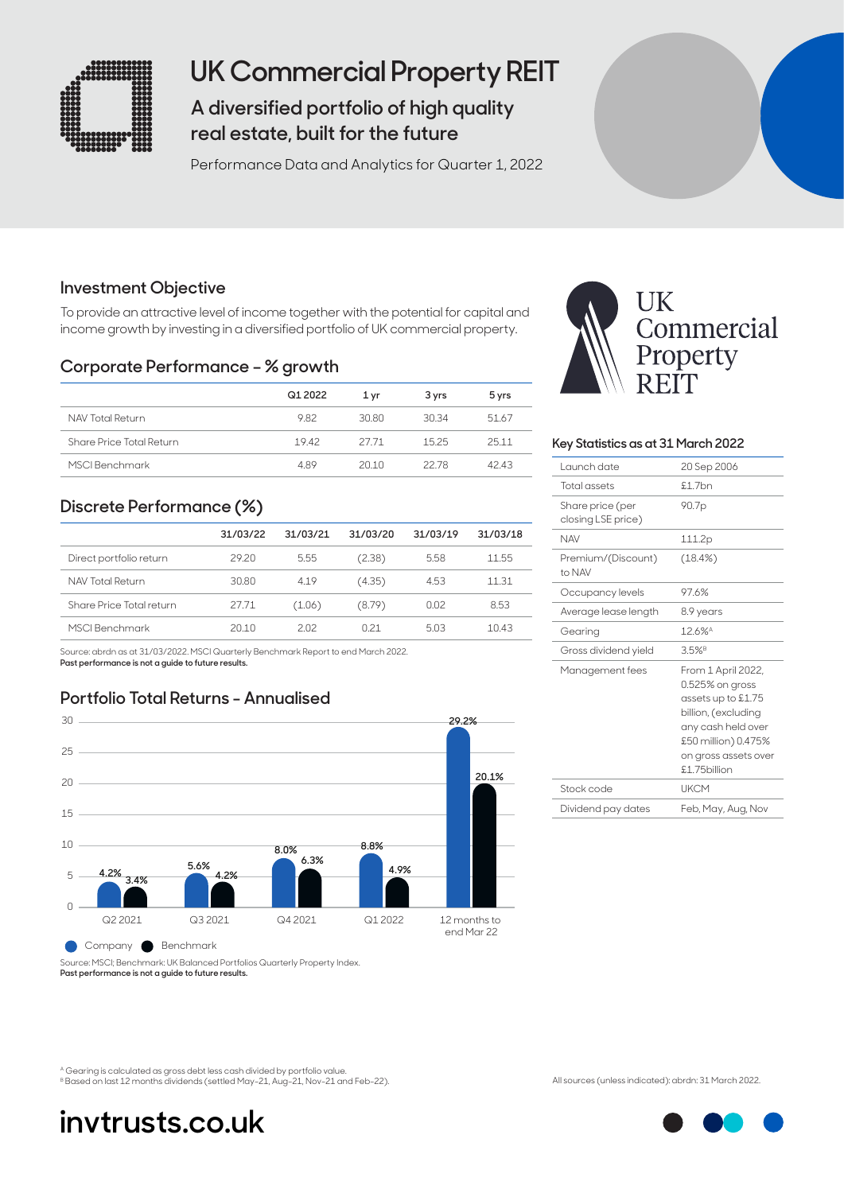

## **UK Commercial Property REIT**

**A diversified portfolio of high quality real estate, built for the future**

Performance Data and Analytics for Quarter 1, 2022

## **Investment Objective**

To provide an attractive level of income together with the potential for capital and income growth by investing in a diversified portfolio of UK commercial property.

### **Corporate Performance – % growth**

|                          | Q1 2022 | 1 vr  | 3 yrs | 5 yrs |
|--------------------------|---------|-------|-------|-------|
| NAV Total Return         | 982     | 30.80 | 30.34 | 51.67 |
| Share Price Total Return | 1942    | 27.71 | 1525  | 2511  |
| MSCI Benchmark           | 489     | 2010  | 22.78 | 4243  |

## **Discrete Performance (%)**

|                          | 31/03/22 | 31/03/21 | 31/03/20        | 31/03/19 | 31/03/18 |
|--------------------------|----------|----------|-----------------|----------|----------|
| Direct portfolio return  | 29.20    | 5.55     | (2.38)          | 5.58     | 11.55    |
| NAV Total Return         | 30.80    | 4.19     | (4.35)          | 4.53     | 11.31    |
| Share Price Total return | 27.71    | (1.06)   | (8.79)          | 0.02     | 8.53     |
| MSCI Benchmark           | 20.10    | 202      | O <sub>21</sub> | 5.03     | 10.43    |

Source: abrdn as at 31/03/2022. MSCI Quarterly Benchmark Report to end March 2022. **Past performance is not a guide to future results.**

## **Portfolio Total Returns - Annualised**



Company Benchmark

Source: MSCI; Benchmark: UK Balanced Portfolios Quarterly Property Index. **Past performance is not a guide to future results.**



### **Key Statistics as at 31 March 2022**

| 20 Sep 2006                                                                                                                                                               |
|---------------------------------------------------------------------------------------------------------------------------------------------------------------------------|
| £1.7bn                                                                                                                                                                    |
| 90.7p                                                                                                                                                                     |
| 111.2p                                                                                                                                                                    |
| (18.4%)                                                                                                                                                                   |
| 97.6%                                                                                                                                                                     |
| 8.9 years                                                                                                                                                                 |
| 12.6%                                                                                                                                                                     |
| $3.5%$ <sup>B</sup>                                                                                                                                                       |
| From 1 April 2022,<br>$0.525%$ on gross<br>assets up to £1.75<br>billion, (excluding<br>any cash held over<br>£50 million) 0.475%<br>on gross assets over<br>£1.75billion |
| <b>UKCM</b>                                                                                                                                                               |
| Feb, May, Aug, Nov                                                                                                                                                        |
|                                                                                                                                                                           |

A Gearing is calculated as gross debt less cash divided by portfolio value. B Based on last 12 months dividends (settled May-21, Aug-21, Nov-21 and Feb-22). All sources (unless indicated): abrdn: 31 March 2022.

# **invtrusts.co.uk**

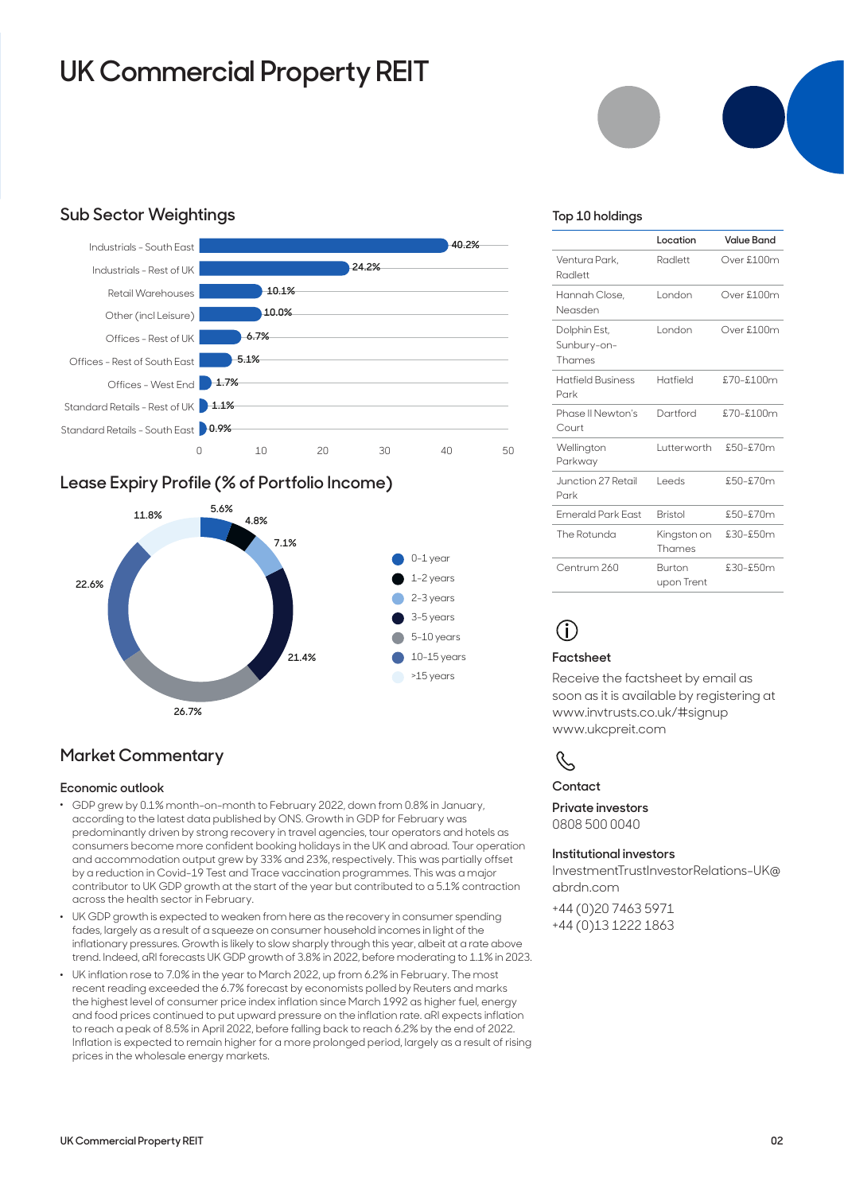# **UK Commercial Property REIT**

## **Sub Sector Weightings**



### **Lease Expiry Profile (% of Portfolio Income)**



### **Market Commentary**

### **Economic outlook**

- . GDP grew by 0.1% month-on-month to February 2022, down from 0.8% in January, according to the latest data published by ONS. Growth in GDP for February was predominantly driven by strong recovery in travel agencies, tour operators and hotels as consumers become more confident booking holidays in the UK and abroad. Tour operation and accommodation output grew by 33% and 23%, respectively. This was partially offset by a reduction in Covid-19 Test and Trace vaccination programmes. This was a major contributor to UK GDP growth at the start of the year but contributed to a 5.1% contraction across the health sector in February.
- . UK GDP growth is expected to weaken from here as the recovery in consumer spending fades, largely as a result of a squeeze on consumer household incomes in light of the inflationary pressures. Growth is likely to slow sharply through this year, albeit at a rate above trend. Indeed, aRI forecasts UK GDP growth of 3.8% in 2022, before moderating to 1.1% in 2023.
- . UK inflation rose to 7.0% in the year to March 2022, up from 6.2% in February. The most recent reading exceeded the 6.7% forecast by economists polled by Reuters and marks the highest level of consumer price index inflation since March 1992 as higher fuel, energy and food prices continued to put upward pressure on the inflation rate. aRI expects inflation to reach a peak of 8.5% in April 2022, before falling back to reach 6.2% by the end of 2022. Inflation is expected to remain higher for a more prolonged period, largely as a result of rising prices in the wholesale energy markets.

### **Top 10 holdings**

|                                       | Location              | <b>Value Band</b> |
|---------------------------------------|-----------------------|-------------------|
| Ventura Park.<br>Radlett              | Radlett               | Over £100m        |
| Hannah Close,<br>Neasden              | London                | Over £100m        |
| Dolphin Est,<br>Sunbury-on-<br>Thames | London                | Over £100m        |
| <b>Hatfield Business</b><br>Park      | Hatfield              | £70-£100m         |
| Phase II Newton's<br>Court            | Dartford              | $$70 - $100m$     |
| Wellington<br>Parkway                 | Lutterworth           | $£50 - £70$ m     |
| Junction 27 Retail<br>Park            | l eeds                | £50-£70m          |
| <b>Emerald Park East</b>              | <b>Bristol</b>        | $£50 - £70$ m     |
| The Rotunda                           | Kingston on<br>Thames | $£30-£50m$        |
| Centrum 260                           | Burton<br>upon Trent  | $£30-£50m$        |

## **i**

### **Factsheet**

Receive the factsheet by email as soon as it is available by registering at www.invtrusts.co.uk/#signup www.ukcpreit.com

## $\mathcal{C}$

**Contact**

**Private investors**  0808 500 0040

### **Institutional investors**

[InvestmentTrustInvestorRelations-UK@](mailto:InvestmentTrustInvestorRelations-UK%40abrdn.com?subject=) [abrdn.com](mailto:InvestmentTrustInvestorRelations-UK%40abrdn.com?subject=)

+44 (0)20 7463 5971 +44 (0)13 1222 1863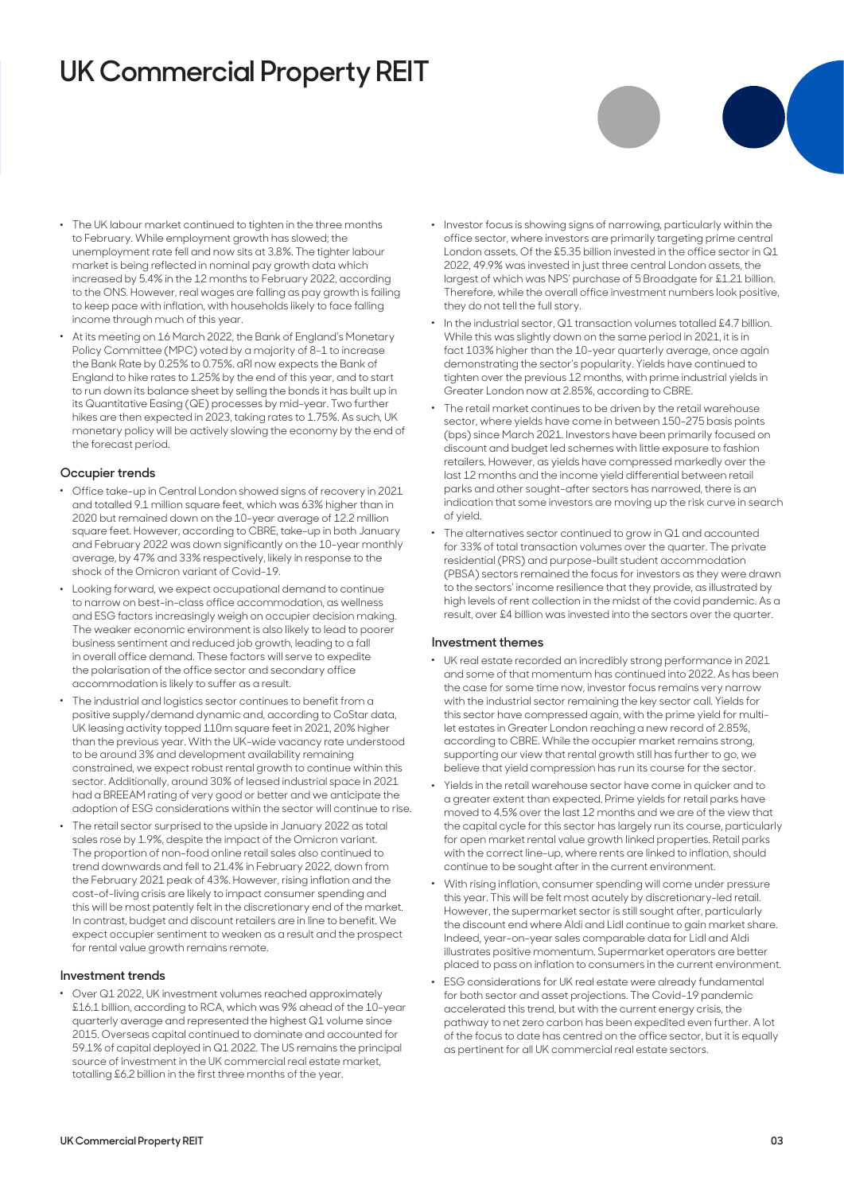# **UK Commercial Property REIT**

- . The UK labour market continued to tighten in the three months to February. While employment growth has slowed; the unemployment rate fell and now sits at 3.8%. The tighter labour market is being reflected in nominal pay growth data which increased by 5.4% in the 12 months to February 2022, according to the ONS. However, real wages are falling as pay growth is failing to keep pace with inflation, with households likely to face falling income through much of this year.
- . At its meeting on 16 March 2022, the Bank of England's Monetary Policy Committee (MPC) voted by a majority of 8-1 to increase the Bank Rate by 0.25% to 0.75%. aRI now expects the Bank of England to hike rates to 1.25% by the end of this year, and to start to run down its balance sheet by selling the bonds it has built up in its Quantitative Easing (QE) processes by mid-year. Two further hikes are then expected in 2023, taking rates to 1.75%. As such, UK monetary policy will be actively slowing the economy by the end of the forecast period.

#### **Occupier trends**

- . Office take-up in Central London showed signs of recovery in 2021 and totalled 9.1 million square feet, which was 63% higher than in 2020 but remained down on the 10-year average of 12.2 million square feet. However, according to CBRE, take-up in both January and February 2022 was down significantly on the 10-year monthly average, by 47% and 33% respectively, likely in response to the shock of the Omicron variant of Covid-19.
- . Looking forward, we expect occupational demand to continue to narrow on best-in-class office accommodation, as wellness and ESG factors increasingly weigh on occupier decision making. The weaker economic environment is also likely to lead to poorer business sentiment and reduced job growth, leading to a fall in overall office demand. These factors will serve to expedite the polarisation of the office sector and secondary office accommodation is likely to suffer as a result.
- . The industrial and logistics sector continues to benefit from a positive supply/demand dynamic and, according to CoStar data, UK leasing activity topped 110m square feet in 2021, 20% higher than the previous year. With the UK-wide vacancy rate understood to be around 3% and development availability remaining constrained, we expect robust rental growth to continue within this sector. Additionally, around 30% of leased industrial space in 2021 had a BREEAM rating of very good or better and we anticipate the adoption of ESG considerations within the sector will continue to rise.
- . The retail sector surprised to the upside in January 2022 as total sales rose by 1.9%, despite the impact of the Omicron variant. The proportion of non-food online retail sales also continued to trend downwards and fell to 21.4% in February 2022, down from the February 2021 peak of 43%. However, rising inflation and the cost-of-living crisis are likely to impact consumer spending and this will be most patently felt in the discretionary end of the market. In contrast, budget and discount retailers are in line to benefit. We expect occupier sentiment to weaken as a result and the prospect for rental value growth remains remote.

#### **Investment trends**

. Over Q1 2022, UK investment volumes reached approximately £16.1 billion, according to RCA, which was 9% ahead of the 10-year quarterly average and represented the highest Q1 volume since 2015. Overseas capital continued to dominate and accounted for 59.1% of capital deployed in Q1 2022. The US remains the principal source of investment in the UK commercial real estate market, totalling £6.2 billion in the first three months of the year.

- . Investor focus is showing signs of narrowing, particularly within the office sector, where investors are primarily targeting prime central London assets. Of the £5.35 billion invested in the office sector in Q1 2022, 49.9% was invested in just three central London assets, the largest of which was NPS' purchase of 5 Broadgate for £1.21 billion. Therefore, while the overall office investment numbers look positive, they do not tell the full story.
- . In the industrial sector, Q1 transaction volumes totalled £4.7 billion. While this was slightly down on the same period in 2021, it is in fact 103% higher than the 10-year quarterly average, once again demonstrating the sector's popularity. Yields have continued to tighten over the previous 12 months, with prime industrial yields in Greater London now at 2.85%, according to CBRE.
- . The retail market continues to be driven by the retail warehouse sector, where yields have come in between 150-275 basis points (bps) since March 2021. Investors have been primarily focused on discount and budget led schemes with little exposure to fashion retailers. However, as yields have compressed markedly over the last 12 months and the income yield differential between retail parks and other sought-after sectors has narrowed, there is an indication that some investors are moving up the risk curve in search of yield.
- . The alternatives sector continued to grow in Q1 and accounted for 33% of total transaction volumes over the quarter. The private residential (PRS) and purpose-built student accommodation (PBSA) sectors remained the focus for investors as they were drawn to the sectors' income resilience that they provide, as illustrated by high levels of rent collection in the midst of the covid pandemic. As a result, over £4 billion was invested into the sectors over the quarter.

#### **Investment themes**

- . UK real estate recorded an incredibly strong performance in 2021 and some of that momentum has continued into 2022. As has been the case for some time now, investor focus remains very narrow with the industrial sector remaining the key sector call. Yields for this sector have compressed again, with the prime yield for multilet estates in Greater London reaching a new record of 2.85%, according to CBRE. While the occupier market remains strong, supporting our view that rental growth still has further to go, we believe that yield compression has run its course for the sector.
- . Yields in the retail warehouse sector have come in quicker and to a greater extent than expected. Prime yields for retail parks have moved to 4.5% over the last 12 months and we are of the view that the capital cycle for this sector has largely run its course, particularly for open market rental value growth linked properties. Retail parks with the correct line-up, where rents are linked to inflation, should continue to be sought after in the current environment.
- . With rising inflation, consumer spending will come under pressure this year. This will be felt most acutely by discretionary-led retail. However, the supermarket sector is still sought after, particularly the discount end where Aldi and Lidl continue to gain market share. Indeed, year-on-year sales comparable data for Lidl and Aldi illustrates positive momentum. Supermarket operators are better placed to pass on inflation to consumers in the current environment.
- . ESG considerations for UK real estate were already fundamental for both sector and asset projections. The Covid-19 pandemic accelerated this trend, but with the current energy crisis, the pathway to net zero carbon has been expedited even further. A lot of the focus to date has centred on the office sector, but it is equally as pertinent for all UK commercial real estate sectors.